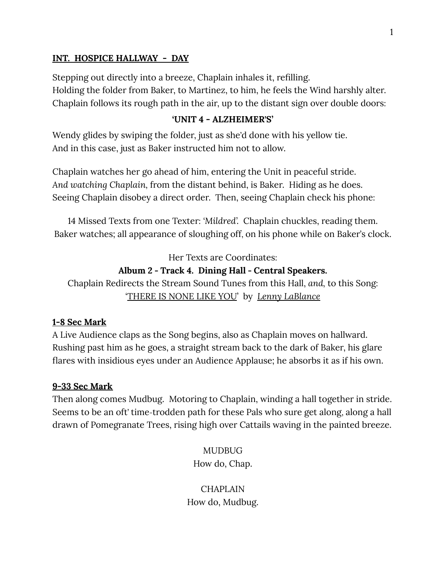#### **INT. HOSPICE HALLWAY - DAY**

Stepping out directly into a breeze, Chaplain inhales it, refilling. Holding the folder from Baker, to Martinez, to him, he feels the Wind harshly alter. Chaplain follows its rough path in the air, up to the distant sign over double doors:

#### **'UNIT 4 - ALZHEIMER'S'**

Wendy glides by swiping the folder, just as she'd done with his yellow tie. And in this case, just as Baker instructed him not to allow.

Chaplain watches her go ahead of him, entering the Unit in peaceful stride. *And watching Chaplain,* from the distant behind, is Baker. Hiding as he does. Seeing Chaplain disobey a direct order. Then, seeing Chaplain check his phone:

14 Missed Texts from one Texter: *'Mildred'.* Chaplain chuckles, reading them. Baker watches; all appearance of sloughing off, on his phone while on Baker's clock.

Her Texts are Coordinates:

#### **Album 2 - Track 4. Dining Hall - Central Speakers.**

Chaplain Redirects the Stream Sound Tunes from this Hall, *and,* to this Song: 'THERE IS NONE LIKE YOU' by *Lenny LaBlance*

#### **1-8 Sec Mark**

A Live Audience claps as the Song begins, also as Chaplain moves on hallward. Rushing past him as he goes, a straight stream back to the dark of Baker, his glare flares with insidious eyes under an Audience Applause; he absorbs it as if his own.

#### **9-33 Sec Mark**

Then along comes Mudbug. Motoring to Chaplain, winding a hall together in stride. Seems to be an oft' time-trodden path for these Pals who sure get along, along a hall drawn of Pomegranate Trees, rising high over Cattails waving in the painted breeze.

> **MUDBUG** How do, Chap.

**CHAPLAIN** How do, Mudbug.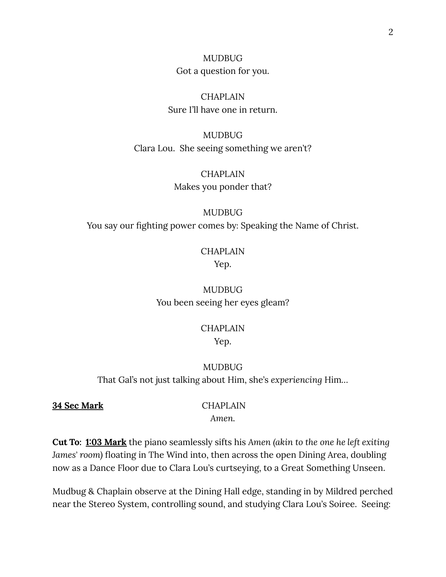MUDBUG Got a question for you.

**CHAPLAIN** Sure I'll have one in return.

MUDBUG Clara Lou. She seeing something we aren't?

> **CHAPLAIN** Makes you ponder that?

MUDBUG You say our fighting power comes by: Speaking the Name of Christ.

# **CHAPLAIN**

Yep.

MUDBUG You been seeing her eyes gleam?

### CHAPLAIN Yep.

### MUDBUG

That Gal's not just talking about Him, she's *experiencing* Him*…*

**34 Sec Mark** CHAPLAIN

*Amen.*

**Cut To: 1:03 Mark** the piano seamlessly sifts his *Amen (akin to the one he left exiting James' room)* floating in The Wind into, then across the open Dining Area, doubling now as a Dance Floor due to Clara Lou's curtseying, to a Great Something Unseen.

Mudbug & Chaplain observe at the Dining Hall edge, standing in by Mildred perched near the Stereo System, controlling sound, and studying Clara Lou's Soiree. Seeing: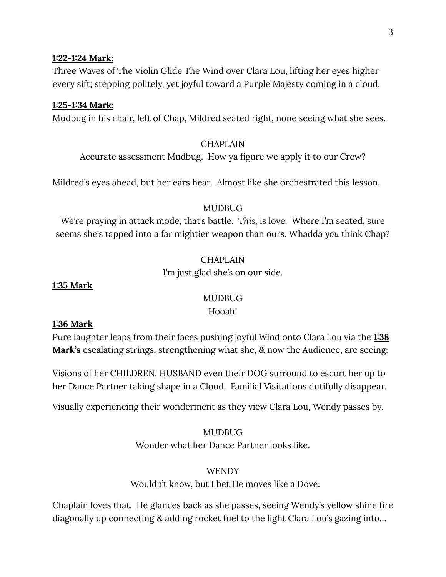### **1:22-1:24 Mark:**

Three Waves of The Violin Glide The Wind over Clara Lou, lifting her eyes higher every sift; stepping politely, yet joyful toward a Purple Majesty coming in a cloud.

#### **1:25-1:34 Mark:**

Mudbug in his chair, left of Chap, Mildred seated right, none seeing what she sees.

#### **CHAPLAIN**

Accurate assessment Mudbug. How ya figure we apply it to our Crew?

Mildred's eyes ahead, but her ears hear. Almost like she orchestrated this lesson.

#### MUDBUG

We're praying in attack mode, that's battle. *This,* is love. Where I'm seated, sure seems she's tapped into a far mightier weapon than ours. Whadda *you* think Chap?

#### CHAPLAIN

I'm just glad she's on our side.

#### **1:35 Mark**

#### MUDBUG

#### Hooah!

#### **1:36 Mark**

Pure laughter leaps from their faces pushing joyful Wind onto Clara Lou via the **1:38 Mark's** escalating strings, strengthening what she, & now the Audience, are seeing:

Visions of her CHILDREN, HUSBAND even their DOG surround to escort her up to her Dance Partner taking shape in a Cloud. Familial Visitations dutifully disappear.

Visually experiencing their wonderment as they view Clara Lou, Wendy passes by.

#### MUDBUG

Wonder what her Dance Partner looks like.

#### WENDY

Wouldn't know, but I bet He moves like a Dove.

Chaplain loves that. He glances back as she passes, seeing Wendy's yellow shine fire diagonally up connecting & adding rocket fuel to the light Clara Lou's gazing into…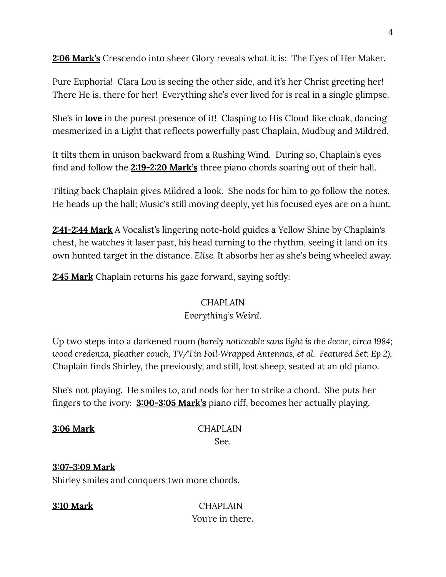**2:06 Mark's** Crescendo into sheer Glory reveals what it is: The Eyes of Her Maker.

Pure Euphoria! Clara Lou is seeing the other side, and it's her Christ greeting her! There He is, there for her! Everything she's ever lived for is real in a single glimpse.

She's in **love** in the purest presence of it! Clasping to His Cloud-like cloak, dancing mesmerized in a Light that reflects powerfully past Chaplain, Mudbug and Mildred.

It tilts them in unison backward from a Rushing Wind. During so, Chaplain's eyes find and follow the **2:19-2:20 Mark's** three piano chords soaring out of their hall.

Tilting back Chaplain gives Mildred a look. She nods for him to go follow the notes. He heads up the hall; Music's still moving deeply, yet his focused eyes are on a hunt.

**2:41-2:44 Mark** A Vocalist's lingering note-hold guides a Yellow Shine by Chaplain's chest, he watches it laser past, his head turning to the rhythm, seeing it land on its own hunted target in the distance. *Elise.* It absorbs her as she's being wheeled away.

**2:45 Mark** Chaplain returns his gaze forward, saying softly:

#### CHAPLAIN

### *Everything's Weird.*

Up two steps into a darkened room *(barely noticeable sans light is the decor, circa 1984; wood credenza, pleather couch, TV/Tin Foil-Wrapped Antennas, et al. Featured Set: Ep 2),* Chaplain finds Shirley, the previously, and still, lost sheep, seated at an old piano.

She's not playing. He smiles to, and nods for her to strike a chord. She puts her fingers to the ivory: **3:00-3:05 Mark's** piano riff, becomes her actually playing.

**3:06 Mark** CHAPLAIN See.

### **3:07-3:09 Mark**

Shirley smiles and conquers two more chords.

**3:10 Mark** CHAPLAIN You're in there.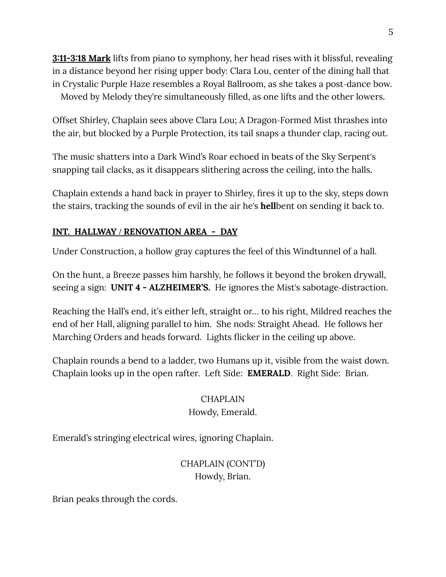**3:11-3:18 Mark** lifts from piano to symphony, her head rises with it blissful, revealing in a distance beyond her rising upper body: Clara Lou, center of the dining hall that in Crystalic Purple Haze resembles a Royal Ballroom, as she takes a post-dance bow. Moved by Melody they're simultaneously filled, as one lifts and the other lowers.

Offset Shirley, Chaplain sees above Clara Lou; A Dragon-Formed Mist thrashes into the air, but blocked by a Purple Protection, its tail snaps a thunder clap, racing out.

The music shatters into a Dark Wind's Roar echoed in beats of the Sky Serpent's snapping tail clacks, as it disappears slithering across the ceiling, into the halls.

Chaplain extends a hand back in prayer to Shirley, fires it up to the sky, steps down the stairs, tracking the sounds of evil in the air he's **hell**bent on sending it back to.

### **INT. HALLWAY / RENOVATION AREA - DAY**

Under Construction, a hollow gray captures the feel of this Windtunnel of a hall.

On the hunt, a Breeze passes him harshly, he follows it beyond the broken drywall, seeing a sign: **UNIT 4 - ALZHEIMER'S.** He ignores the Mist's sabotage-distraction.

Reaching the Hall's end, it's either left, straight or… to his right, Mildred reaches the end of her Hall, aligning parallel to him. She nods: Straight Ahead. He follows her Marching Orders and heads forward. Lights flicker in the ceiling up above.

Chaplain rounds a bend to a ladder, two Humans up it, visible from the waist down. Chaplain looks up in the open rafter. Left Side: **EMERALD**. Right Side: Brian.

### CHAPLAIN

### Howdy, Emerald.

Emerald's stringing electrical wires, ignoring Chaplain.

### CHAPLAIN (CONT'D) Howdy, Brian.

Brian peaks through the cords.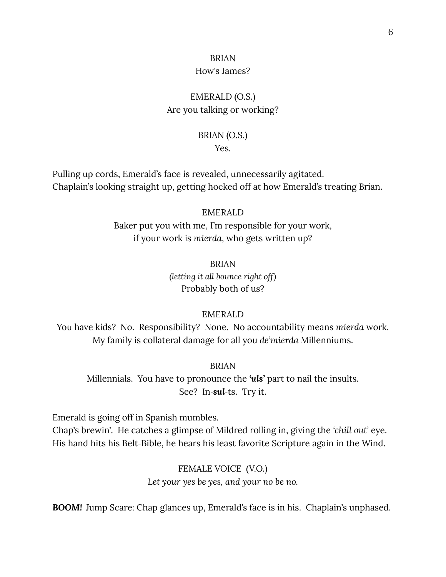# BRIAN

### How's James?

### EMERALD (O.S.) Are you talking or working?

### BRIAN (O.S.)

Yes.

Pulling up cords, Emerald's face is revealed, unnecessarily agitated. Chaplain's looking straight up, getting hocked off at how Emerald's treating Brian.

#### EMERALD

Baker put you with me, I'm responsible for your work, if your work is *mierda*, who gets written up?

> BRIAN *(letting it all bounce right off)* Probably both of us?

### EMERALD

You have kids? No. Responsibility? None. No accountability means *mierda* work. My family is collateral damage for all you *de'mierda* Millenniums.

BRIAN

Millennials. You have to pronounce the *'uls'* part to nail the insults. See? In-*sul*-ts. Try it.

Emerald is going off in Spanish mumbles.

Chap's brewin'. He catches a glimpse of Mildred rolling in, giving the *'chill out'* eye. His hand hits his Belt-Bible, he hears his least favorite Scripture again in the Wind.

> FEMALE VOICE (V.O.) *Let your yes be yes, and your no be no.*

**BOOM!** Jump Scare: Chap glances up, Emerald's face is in his. Chaplain's unphased.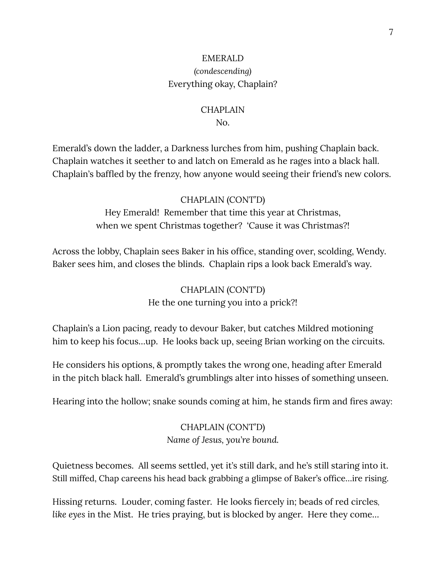### EMERALD *(condescending)* Everything okay, Chaplain?

#### CHAPLAIN

#### No.

Emerald's down the ladder, a Darkness lurches from him, pushing Chaplain back. Chaplain watches it seether to and latch on Emerald as he rages into a black hall. Chaplain's baffled by the frenzy, how anyone would seeing their friend's new colors.

#### CHAPLAIN (CONT'D)

Hey Emerald! Remember that time this year at Christmas, when we spent Christmas together? 'Cause it was Christmas?!

Across the lobby, Chaplain sees Baker in his office, standing over, scolding, Wendy. Baker sees him, and closes the blinds. Chaplain rips a look back Emerald's way.

> CHAPLAIN (CONT'D) He the one turning you into a prick?!

Chaplain's a Lion pacing, ready to devour Baker, but catches Mildred motioning him to keep his focus...up. He looks back up, seeing Brian working on the circuits.

He considers his options, & promptly takes the wrong one, heading after Emerald in the pitch black hall. Emerald's grumblings alter into hisses of something unseen.

Hearing into the hollow; snake sounds coming at him, he stands firm and fires away:

### CHAPLAIN (CONT'D) *Name of Jesus, you're bound.*

Quietness becomes. All seems settled, yet it's still dark, and he's still staring into it. Still miffed, Chap careens his head back grabbing a glimpse of Baker's office…ire rising.

Hissing returns. Louder*,* coming faster. He looks fiercely in*;* beads of red circles*, like eyes* in the Mist. He tries praying, but is blocked by anger. Here they come…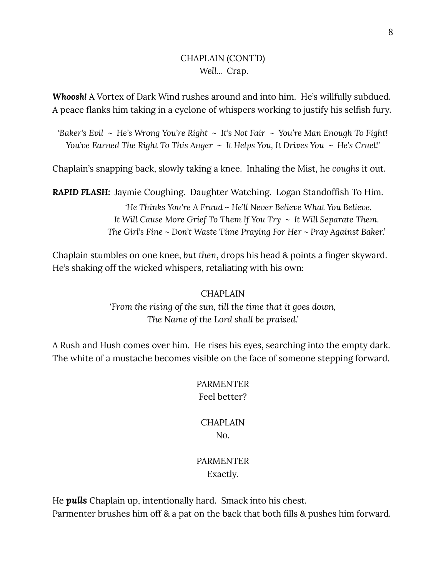### CHAPLAIN (CONT'D) *Well…* Crap.

*Whoosh!* A Vortex of Dark Wind rushes around and into him. He's willfully subdued. A peace flanks him taking in a cyclone of whispers working to justify his selfish fury.

'Baker's Evil ~ He's Wrong You're Right ~ It's Not Fair ~ You're Man Enough To Fight! You've Earned The Right To This Anger  $\sim$  It Helps You, It Drives You  $\sim$  He's Cruel!'

Chaplain's snapping back, slowly taking a knee. Inhaling the Mist, he *coughs* it out.

*RAPID FLASH:* Jaymie Coughing. Daughter Watching. Logan Standoffish To Him. *'He Thinks You're A Fraud ~ He*'*ll Never Believe What You Believe. It Will Cause More Grief To Them If You Try ~ It Will Separate Them. The Girl*'*s Fine ~ Don*'*t Waste Time Praying For Her ~ Pray Against Baker.'*

Chaplain stumbles on one knee, *but then*, drops his head & points a finger skyward. He's shaking off the wicked whispers, retaliating with his own:

### CHAPLAIN

*'From the rising of the sun, till the time that it goes down, The Name of the Lord shall be praised.'*

A Rush and Hush comes over him. He rises his eyes, searching into the empty dark. The white of a mustache becomes visible on the face of someone stepping forward.

### PARMENTER Feel better?

### **CHAPLAIN** No.

### PARMENTER Exactly.

He *pulls* Chaplain up, intentionally hard. Smack into his chest. Parmenter brushes him off & a pat on the back that both fills & pushes him forward.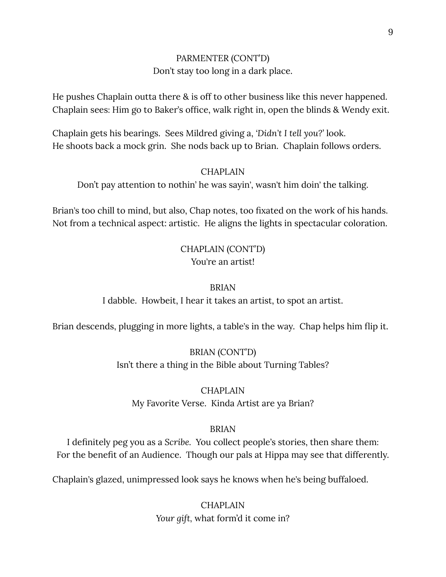### PARMENTER (CONT'D) Don't stay too long in a dark place.

He pushes Chaplain outta there & is off to other business like this never happened. Chaplain sees: Him go to Baker's office, walk right in, open the blinds & Wendy exit.

Chaplain gets his bearings. Sees Mildred giving a, *'Didn't I tell you?'* look. He shoots back a mock grin. She nods back up to Brian. Chaplain follows orders.

#### CHAPLAIN

Don't pay attention to nothin' he was sayin', wasn't him doin' the talking.

Brian's too chill to mind, but also, Chap notes, too fixated on the work of his hands. Not from a technical aspect: artistic. He aligns the lights in spectacular coloration.

### CHAPLAIN (CONT'D) You're an artist!

#### BRIAN

I dabble. Howbeit, I hear it takes an artist, to spot an artist.

Brian descends, plugging in more lights, a table's in the way. Chap helps him flip it.

BRIAN (CONT'D) Isn't there a thing in the Bible about Turning Tables?

### CHAPLAIN My Favorite Verse. Kinda Artist are ya Brian?

#### BRIAN

I definitely peg you as a *Scribe.* You collect people's stories, then share them: For the benefit of an Audience. Though our pals at Hippa may see that differently.

Chaplain's glazed, unimpressed look says he knows when he's being buffaloed.

**CHAPLAIN** *Your gift,* what form'd it come in?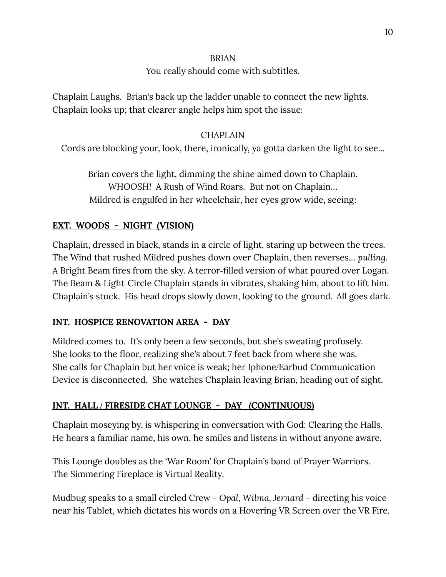#### BRIAN

### You really should come with subtitles.

Chaplain Laughs. Brian's back up the ladder unable to connect the new lights. Chaplain looks up; that clearer angle helps him spot the issue:

### CHAPLAIN

Cords are blocking your, look, there, ironically, ya gotta darken the light to see...

Brian covers the light, dimming the shine aimed down to Chaplain. *WHOOSH!* A Rush of Wind Roars. But not on Chaplain… Mildred is engulfed in her wheelchair, her eyes grow wide, seeing:

### **EXT. WOODS - NIGHT (VISION)**

Chaplain, dressed in black, stands in a circle of light, staring up between the trees. The Wind that rushed Mildred pushes down over Chaplain, then reverses… *pulling.* A Bright Beam fires from the sky. A terror-filled version of what poured over Logan. The Beam & Light-Circle Chaplain stands in vibrates, shaking him, about to lift him. Chaplain's stuck. His head drops slowly down, looking to the ground. All goes dark.

### **INT. HOSPICE RENOVATION AREA - DAY**

Mildred comes to. It's only been a few seconds, but she's sweating profusely. She looks to the floor, realizing she's about 7 feet back from where she was. She calls for Chaplain but her voice is weak; her Iphone/Earbud Communication Device is disconnected. She watches Chaplain leaving Brian, heading out of sight.

### **INT. HALL / FIRESIDE CHAT LOUNGE - DAY (CONTINUOUS)**

Chaplain moseying by, is whispering in conversation with God: Clearing the Halls. He hears a familiar name, his own, he smiles and listens in without anyone aware.

This Lounge doubles as the 'War Room' for Chaplain's band of Prayer Warriors. The Simmering Fireplace is Virtual Reality.

Mudbug speaks to a small circled Crew *- Opal, Wilma, Jernard -* directing his voice near his Tablet, which dictates his words on a Hovering VR Screen over the VR Fire.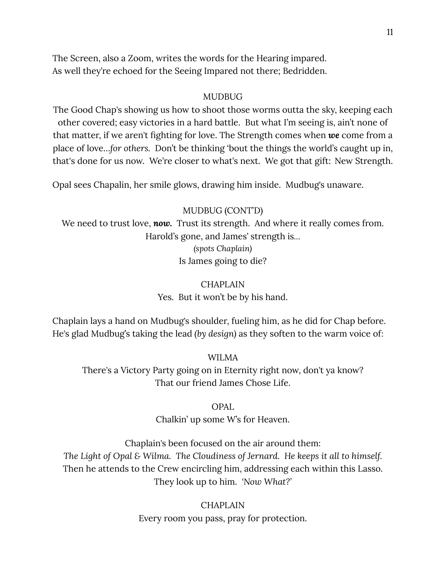The Screen, also a Zoom, writes the words for the Hearing impared. As well they're echoed for the Seeing Impared not there; Bedridden.

#### MUDBUG

The Good Chap's showing us how to shoot those worms outta the sky, keeping each other covered; easy victories in a hard battle. But what I'm seeing is, ain't none of that matter, if we aren't fighting for love. The Strength comes when *we* come from a place of love…*for others.* Don't be thinking 'bout the things the world's caught up in, that's done for us now. We're closer to what's next. We got that gift: New Strength.

Opal sees Chapalin, her smile glows, drawing him inside. Mudbug's unaware.

#### MUDBUG (CONT'D)

We need to trust love, **now.** Trust its strength. And where it really comes from. Harold's gone, and James' strength is*… (spots Chaplain)* Is James going to die?

### **CHAPLAIN**

Yes. But it won't be by his hand.

Chaplain lays a hand on Mudbug's shoulder, fueling him, as he did for Chap before. He's glad Mudbug's taking the lead *(by design)* as they soften to the warm voice of:

#### WILMA

There's a Victory Party going on in Eternity right now, don't ya know? That our friend James Chose Life.

#### OPAL

Chalkin' up some W's for Heaven.

Chaplain's been focused on the air around them: *The Light of Opal & Wilma. The Cloudiness of Jernard. He keeps it all to himself.* Then he attends to the Crew encircling him, addressing each within this Lasso. They look up to him. *'Now What?'*

> CHAPLAIN Every room you pass, pray for protection.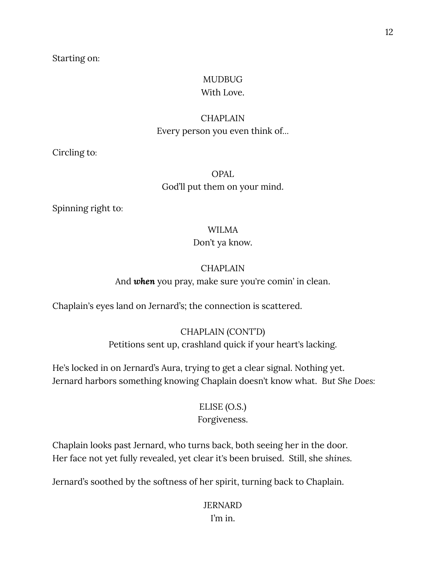#### Starting on:

#### MUDBUG With Love.

## **CHAPLAIN** Every person you even think of*…*

Circling to:

### OPAL God'll put them on your mind.

Spinning right to:

#### WILMA

#### Don't ya know.

#### **CHAPLAIN**

And *when* you pray, make sure you're comin' in clean.

Chaplain's eyes land on Jernard's; the connection is scattered.

### CHAPLAIN (CONT'D)

Petitions sent up, crashland quick if your heart's lacking.

He's locked in on Jernard's Aura, trying to get a clear signal. Nothing yet. Jernard harbors something knowing Chaplain doesn't know what. *But She Does:*

### ELISE (O.S.) Forgiveness.

### Chaplain looks past Jernard, who turns back, both seeing her in the door. Her face not yet fully revealed, yet clear it's been bruised. Still, she *shines.*

Jernard's soothed by the softness of her spirit, turning back to Chaplain.

### JERNARD I'm in.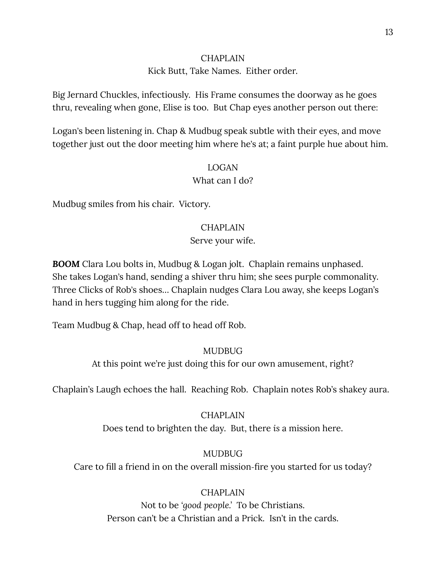#### CHAPLAIN

#### Kick Butt, Take Names. Either order.

Big Jernard Chuckles, infectiously. His Frame consumes the doorway as he goes thru, revealing when gone, Elise is too. But Chap eyes another person out there:

Logan's been listening in. Chap & Mudbug speak subtle with their eyes, and move together just out the door meeting him where he's at; a faint purple hue about him.

#### LOGAN

#### What can I do?

Mudbug smiles from his chair. Victory.

#### **CHAPLAIN**

#### Serve your wife.

*BOOM* Clara Lou bolts in, Mudbug & Logan jolt. Chaplain remains unphased. She takes Logan's hand, sending a shiver thru him; she sees purple commonality. Three Clicks of Rob's shoes… Chaplain nudges Clara Lou away, she keeps Logan's hand in hers tugging him along for the ride.

Team Mudbug & Chap, head off to head off Rob.

#### **MUDBUG**

At this point we're just doing this for our own amusement, right?

Chaplain's Laugh echoes the hall. Reaching Rob. Chaplain notes Rob's shakey aura.

CHAPLAIN Does tend to brighten the day. But, there *is* a mission here.

#### MUDBUG

Care to fill a friend in on the overall mission-fire you started for us today?

### **CHAPLAIN**

Not to be *'good people.'* To be Christians. Person can't be a Christian and a Prick. Isn't in the cards.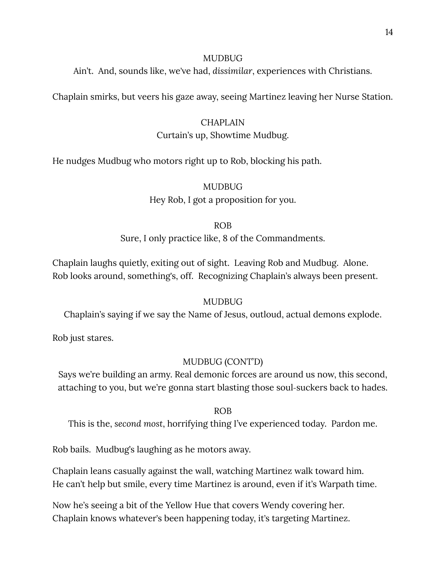#### MUDBUG

Ain't. And, sounds like, we've had, *dissimilar*, experiences with Christians.

Chaplain smirks, but veers his gaze away, seeing Martinez leaving her Nurse Station.

#### CHAPLAIN

#### Curtain's up, Showtime Mudbug.

He nudges Mudbug who motors right up to Rob, blocking his path.

### MUDBUG Hey Rob, I got a proposition for you.

#### ROB

Sure, I only practice like, 8 of the Commandments.

Chaplain laughs quietly, exiting out of sight. Leaving Rob and Mudbug. Alone. Rob looks around, something's, off. Recognizing Chaplain's always been present.

#### MUDBUG

Chaplain's saying if we say the Name of Jesus, outloud, actual demons explode.

Rob just stares.

#### MUDBUG (CONT'D)

Says we're building an army. Real demonic forces are around us now, this second, attaching to you, but we're gonna start blasting those soul-suckers back to hades.

ROB

This is the, *second most*, horrifying thing I've experienced today. Pardon me.

Rob bails. Mudbug's laughing as he motors away.

Chaplain leans casually against the wall, watching Martinez walk toward him. He can't help but smile, every time Martinez is around, even if it's Warpath time.

Now he's seeing a bit of the Yellow Hue that covers Wendy covering her. Chaplain knows whatever's been happening today, it's targeting Martinez.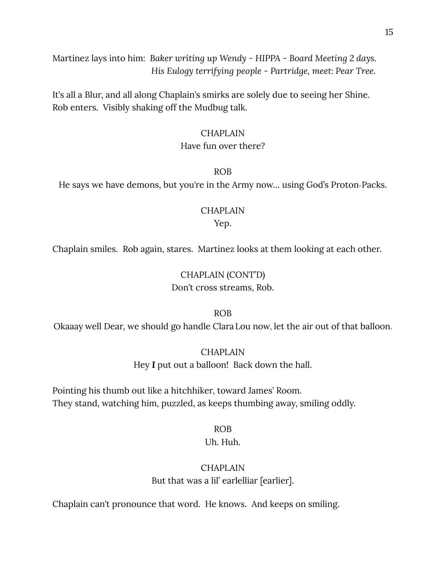Martinez lays into him: *Baker writing up Wendy - HIPPA - Board Meeting 2 days. His Eulogy terrifying people - Partridge, meet: Pear Tree.*

It's all a Blur, and all along Chaplain's smirks are solely due to seeing her Shine. Rob enters. Visibly shaking off the Mudbug talk.

#### CHAPLAIN

#### Have fun over there?

#### ROB

He says we have demons, but you're in the Army now… using God's Proton-Packs.

#### CHAPLAIN

#### Yep.

Chaplain smiles. Rob again, stares. Martinez looks at them looking at each other.

### CHAPLAIN (CONT'D) Don't cross streams, Rob.

#### ROB

Okaaay well Dear, we should go handle ClaraLou now, let the air out of that balloon.

#### **CHAPLAIN**

Hey *I* put out a balloon! Back down the hall.

Pointing his thumb out like a hitchhiker, toward James' Room. They stand, watching him, puzzled, as keeps thumbing away, smiling oddly.

#### ROB

### Uh. Huh.

### **CHAPLAIN** But that was a lil' earlelliar [earlier].

Chaplain can't pronounce that word. He knows. And keeps on smiling.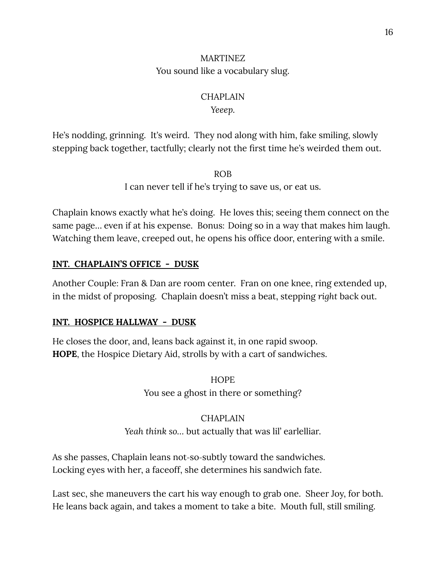### MARTINEZ You sound like a vocabulary slug.

### **CHAPLAIN**

### *Yeeep.*

He's nodding, grinning. It's weird. They nod along with him, fake smiling, slowly stepping back together, tactfully; clearly not the first time he's weirded them out.

ROB

I can never tell if he's trying to save us, or eat us.

Chaplain knows exactly what he's doing. He loves this; seeing them connect on the same page… even if at his expense. Bonus: Doing so in a way that makes him laugh. Watching them leave, creeped out, he opens his office door, entering with a smile.

### **INT. CHAPLAIN'S OFFICE - DUSK**

Another Couple: Fran & Dan are room center. Fran on one knee, ring extended up, in the midst of proposing. Chaplain doesn't miss a beat, stepping *right* back out.

### **INT. HOSPICE HALLWAY - DUSK**

He closes the door, and, leans back against it, in one rapid swoop. **HOPE**, the Hospice Dietary Aid, strolls by with a cart of sandwiches.

> **HOPE** You see a ghost in there or something?

### CHAPLAIN *Yeah think so…* but actually that was lil' earlelliar.

As she passes, Chaplain leans not-so-subtly toward the sandwiches. Locking eyes with her, a faceoff, she determines his sandwich fate.

Last sec, she maneuvers the cart his way enough to grab one. Sheer Joy, for both. He leans back again, and takes a moment to take a bite. Mouth full, still smiling.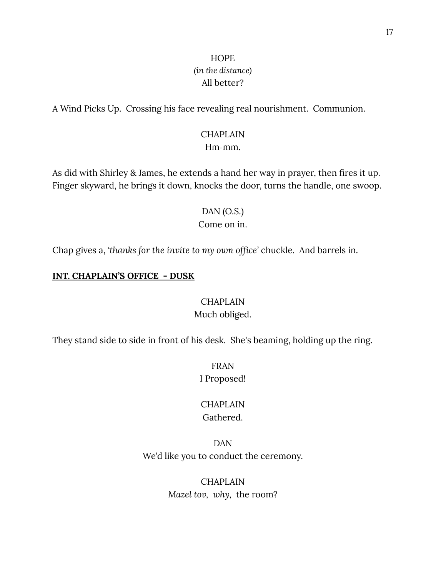### **HOPE** *(in the distance)* All better?

A Wind Picks Up. Crossing his face revealing real nourishment. Communion.

#### **CHAPLAIN** Hm-mm.

As did with Shirley & James, he extends a hand her way in prayer, then fires it up. Finger skyward, he brings it down, knocks the door, turns the handle, one swoop.

#### DAN (O.S.) Come on in.

Chap gives a, *'thanks for the invite to my own office'* chuckle. And barrels in.

#### **INT. CHAPLAIN'S OFFICE - DUSK**

#### CHAPLAIN

#### Much obliged.

They stand side to side in front of his desk. She's beaming, holding up the ring.

FRAN I Proposed!

#### CHAPLAIN Gathered.

DAN We'd like you to conduct the ceremony.

> **CHAPLAIN** *Mazel tov, why,* the room?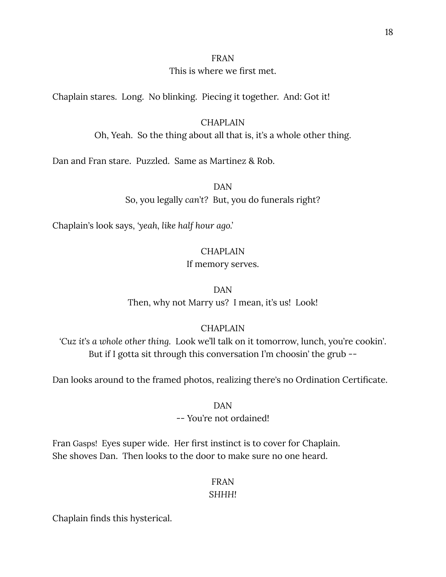#### FRAN

#### This is where we first met.

Chaplain stares. Long. No blinking. Piecing it together. And: Got it!

#### **CHAPLAIN**

Oh, Yeah. So the thing about all that is, it's a whole other thing.

Dan and Fran stare. Puzzled. Same as Martinez & Rob.

DAN

So, you legally *can*'*t?* But, you do funerals right?

Chaplain's look says, *'yeah, like half hour ago.'*

### **CHAPLAIN**

#### If memory serves.

### DAN

Then, why not Marry us? I mean, it's us! Look!

### CHAPLAIN

*'Cuz it*'*s a whole other thing.* Look we'll talk on it tomorrow, lunch, you're cookin'. But if I gotta sit through this conversation I'm choosin' the grub --

Dan looks around to the framed photos, realizing there's no Ordination Certificate.

#### DAN

### -- You're not ordained!

Fran Gasps! Eyes super wide. Her first instinct is to cover for Chaplain. She shoves Dan. Then looks to the door to make sure no one heard.

### FRAN

### *SHHH!*

Chaplain finds this hysterical.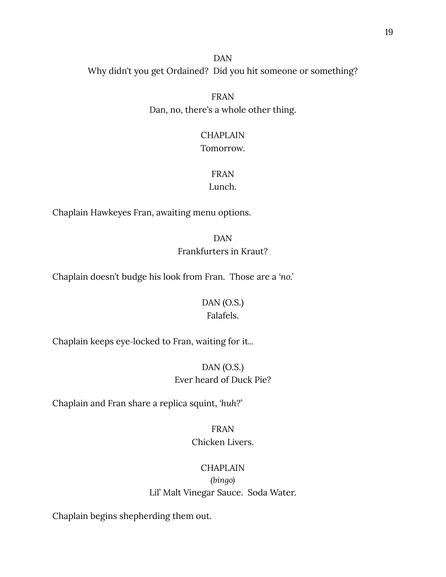DAN Why didn't you get Ordained? Did you hit someone or something?

> FRAN Dan, no, there's a whole other thing.

# CHAPLAIN

### Tomorrow.

### FRAN

### Lunch.

Chaplain Hawkeyes Fran, awaiting menu options.

DAN Frankfurters in Kraut?

Chaplain doesn't budge his look from Fran. Those are a *'no.'*

### DAN (O.S.) Falafels.

Chaplain keeps eye-locked to Fran, waiting for it*...*

### DAN (O.S.) Ever heard of Duck Pie?

Chaplain and Fran share a replica squint, *'huh?'*

### FRAN Chicken Livers.

### CHAPLAIN

*(bingo)* Lil' Malt Vinegar Sauce. Soda Water.

Chaplain begins shepherding them out.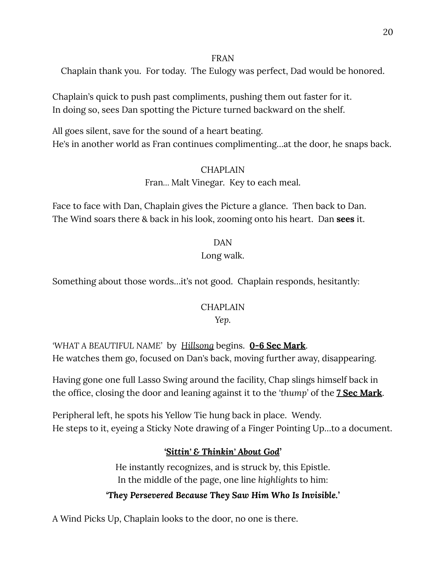### FRAN

Chaplain thank you. For today. The Eulogy was perfect, Dad would be honored.

Chaplain's quick to push past compliments, pushing them out faster for it. In doing so, sees Dan spotting the Picture turned backward on the shelf.

All goes silent, save for the sound of a heart beating. He's in another world as Fran continues complimenting…at the door, he snaps back.

### CHAPLAIN

### Fran*…* Malt Vinegar. Key to each meal.

Face to face with Dan, Chaplain gives the Picture a glance. Then back to Dan. The Wind soars there & back in his look, zooming onto his heart. Dan **sees** it.

> DAN Long walk.

Something about those words…it's not good. Chaplain responds, hesitantly:

### CHAPLAIN

### *Yep.*

*'WHAT A BEAUTIFUL NAME'* by *Hillsong* begins. **0-6 Sec Mark**. He watches them go, focused on Dan's back, moving further away, disappearing.

Having gone one full Lasso Swing around the facility, Chap slings himself back in the office, closing the door and leaning against it to the *'thump'* of the **7 Sec Mark**.

Peripheral left, he spots his Yellow Tie hung back in place. Wendy. He steps to it, eyeing a Sticky Note drawing of a Finger Pointing Up…to a document.

### *'Sittin' & Thinkin' About God'*

He instantly recognizes, and is struck by, this Epistle. In the middle of the page, one line *highlights* to him:

### *'They Persevered Because They Saw Him Who Is Invisible.'*

A Wind Picks Up, Chaplain looks to the door, no one is there.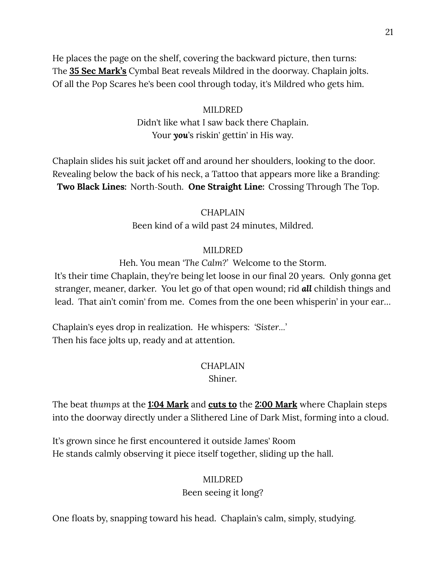He places the page on the shelf, covering the backward picture, then turns: The **35 Sec Mark's** Cymbal Beat reveals Mildred in the doorway. Chaplain jolts. Of all the Pop Scares he's been cool through today, it's Mildred who gets him.

> MILDRED Didn't like what I saw back there Chaplain. Your *you*'s riskin' gettin' in His way.

Chaplain slides his suit jacket off and around her shoulders, looking to the door. Revealing below the back of his neck, a Tattoo that appears more like a Branding: **Two Black Lines:** North-South. **One Straight Line:** Crossing Through The Top.

#### CHAPLAIN

Been kind of a wild past 24 minutes, Mildred.

#### MILDRED

Heh. You mean *'The Calm?'* Welcome to the Storm.

It's their time Chaplain, they're being let loose in our final 20 years. Only gonna get stranger, meaner, darker. You let go of that open wound; rid *all* childish things and lead. That ain't comin' from me. Comes from the one been whisperin' in your ear*…*

Chaplain's eyes drop in realization. He whispers: *'Sister…'* Then his face jolts up, ready and at attention.

#### CHAPLAIN

Shiner.

The beat *thumps* at the **1:04 Mark** and **cuts to** the **2:00 Mark** where Chaplain steps into the doorway directly under a Slithered Line of Dark Mist, forming into a cloud.

It's grown since he first encountered it outside James' Room He stands calmly observing it piece itself together, sliding up the hall.

#### MILDRED

Been seeing it long?

One floats by, snapping toward his head. Chaplain's calm, simply, studying.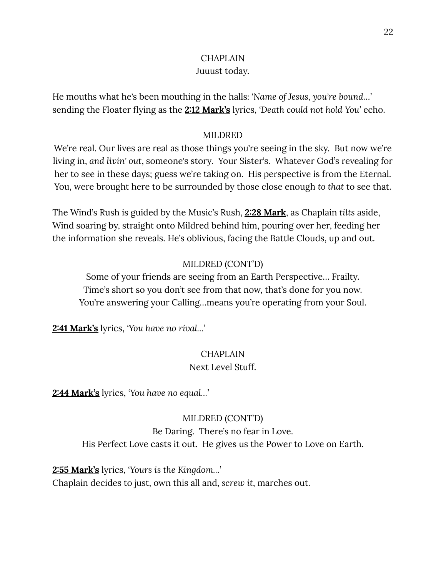## **CHAPLAIN**

### Juuust today.

He mouths what he's been mouthing in the halls: *'Name of Jesus, you're bound…'* sending the Floater flying as the **2:12 Mark's** lyrics, *'Death could not hold You'* echo.

### MILDRED

We're real. Our lives are real as those things you're seeing in the sky. But now we're living in, *and livin' out*, someone's story. Your Sister's. Whatever God's revealing for her to see in these days; guess we're taking on. His perspective is from the Eternal. You, were brought here to be surrounded by those close enough *to that* to see that.

The Wind's Rush is guided by the Music's Rush, **2:28 Mark**, as Chaplain *tilts* aside, Wind soaring by, straight onto Mildred behind him, pouring over her, feeding her the information she reveals. He's oblivious, facing the Battle Clouds, up and out.

### MILDRED (CONT'D)

Some of your friends are seeing from an Earth Perspective… Frailty. Time's short so you don't see from that now, that's done for you now. You're answering your Calling…means you're operating from your Soul.

**2:41 Mark's** lyrics, *'You have no rival…'*

# CHAPLAIN

### Next Level Stuff.

**2:44 Mark's** lyrics, *'You have no equal…'*

### MILDRED (CONT'D)

Be Daring. There's no fear in Love. His Perfect Love casts it out. He gives us the Power to Love on Earth.

**2:55 Mark's** lyrics, *'Yours is the Kingdom…'*

Chaplain decides to just, own this all and, *screw it*, marches out.